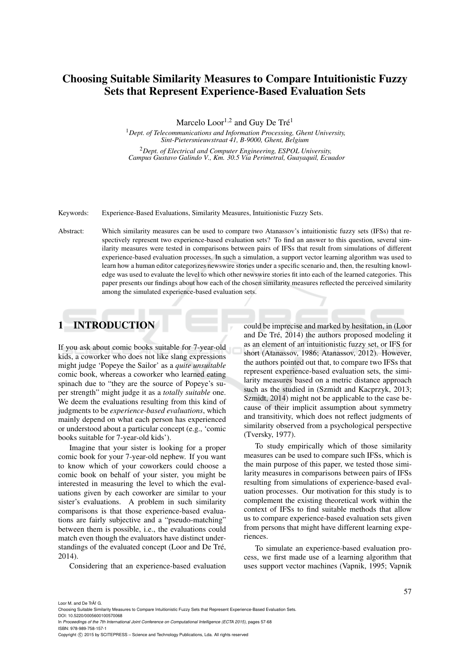# Choosing Suitable Similarity Measures to Compare Intuitionistic Fuzzy Sets that Represent Experience-Based Evaluation Sets

Marcelo  $\text{Loor}^{1,2}$  and Guy De Tré<sup>1</sup>

<sup>1</sup>*Dept. of Telecommunications and Information Processing, Ghent University, Sint-Pietersnieuwstraat 41, B-9000, Ghent, Belgium* <sup>2</sup>*Dept. of Electrical and Computer Engineering, ESPOL University,*

*Campus Gustavo Galindo V., Km. 30.5 Via Perimetral, Guayaquil, Ecuador*

#### Keywords: Experience-Based Evaluations, Similarity Measures, Intuitionistic Fuzzy Sets.

Abstract: Which similarity measures can be used to compare two Atanassov's intuitionistic fuzzy sets (IFSs) that respectively represent two experience-based evaluation sets? To find an answer to this question, several similarity measures were tested in comparisons between pairs of IFSs that result from simulations of different experience-based evaluation processes. In such a simulation, a support vector learning algorithm was used to learn how a human editor categorizes newswire stories under a specific scenario and, then, the resulting knowledge was used to evaluate the level to which other newswire stories fit into each of the learned categories. This paper presents our findings about how each of the chosen similarity measures reflected the perceived similarity among the simulated experience-based evaluation sets.

## 1 INTRODUCTION

If you ask about comic books suitable for 7-year-old kids, a coworker who does not like slang expressions might judge 'Popeye the Sailor' as a *quite unsuitable* comic book, whereas a coworker who learned eating spinach due to "they are the source of Popeye's super strength" might judge it as a *totally suitable* one. We deem the evaluations resulting from this kind of judgments to be *experience-based evaluations*, which mainly depend on what each person has experienced or understood about a particular concept (e.g., 'comic books suitable for 7-year-old kids').

Imagine that your sister is looking for a proper comic book for your 7-year-old nephew. If you want to know which of your coworkers could choose a comic book on behalf of your sister, you might be interested in measuring the level to which the evaluations given by each coworker are similar to your sister's evaluations. A problem in such similarity comparisons is that those experience-based evaluations are fairly subjective and a "pseudo-matching" between them is possible, i.e., the evaluations could match even though the evaluators have distinct understandings of the evaluated concept (Loor and De Tré, 2014).

Considering that an experience-based evaluation

could be imprecise and marked by hesitation, in (Loor and De Tré, 2014) the authors proposed modeling it as an element of an intuitionistic fuzzy set, or IFS for short (Atanassov, 1986; Atanassov, 2012). However, the authors pointed out that, to compare two IFSs that represent experience-based evaluation sets, the similarity measures based on a metric distance approach such as the studied in (Szmidt and Kacprzyk, 2013; Szmidt, 2014) might not be applicable to the case because of their implicit assumption about symmetry and transitivity, which does not reflect judgments of similarity observed from a psychological perspective (Tversky, 1977).

To study empirically which of those similarity measures can be used to compare such IFSs, which is the main purpose of this paper, we tested those similarity measures in comparisons between pairs of IFSs resulting from simulations of experience-based evaluation processes. Our motivation for this study is to complement the existing theoretical work within the context of IFSs to find suitable methods that allow us to compare experience-based evaluation sets given from persons that might have different learning experiences.

To simulate an experience-based evaluation process, we first made use of a learning algorithm that uses support vector machines (Vapnik, 1995; Vapnik

Choosing Suitable Similarity Measures to Compare Intuitionistic Fuzzy Sets that Represent Experience-Based Evaluation Sets. DOI: 10.5220/0005600100570068

In *Proceedings of the 7th International Joint Conference on Computational Intelligence (ECTA 2015)*, pages 57-68 ISBN: 978-989-758-157-1

Copyright © 2015 by SCITEPRESS - Science and Technology Publications, Lda. All rights reserved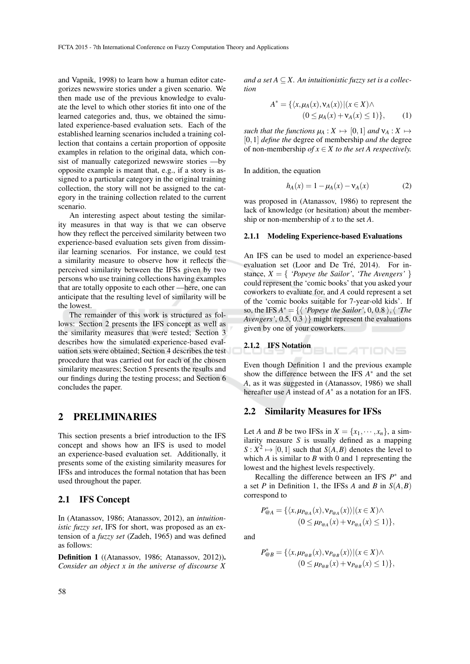and Vapnik, 1998) to learn how a human editor categorizes newswire stories under a given scenario. We then made use of the previous knowledge to evaluate the level to which other stories fit into one of the learned categories and, thus, we obtained the simulated experience-based evaluation sets. Each of the established learning scenarios included a training collection that contains a certain proportion of opposite examples in relation to the original data, which consist of manually categorized newswire stories —by opposite example is meant that, e.g., if a story is assigned to a particular category in the original training collection, the story will not be assigned to the category in the training collection related to the current scenario.

An interesting aspect about testing the similarity measures in that way is that we can observe how they reflect the perceived similarity between two experience-based evaluation sets given from dissimilar learning scenarios. For instance, we could test a similarity measure to observe how it reflects the perceived similarity between the IFSs given by two persons who use training collections having examples that are totally opposite to each other —here, one can anticipate that the resulting level of similarity will be the lowest.

The remainder of this work is structured as follows: Section 2 presents the IFS concept as well as the similarity measures that were tested; Section 3 describes how the simulated experience-based evaluation sets were obtained; Section 4 describes the test procedure that was carried out for each of the chosen similarity measures; Section 5 presents the results and our findings during the testing process; and Section 6 concludes the paper.

## 2 PRELIMINARIES

This section presents a brief introduction to the IFS concept and shows how an IFS is used to model an experience-based evaluation set. Additionally, it presents some of the existing similarity measures for IFSs and introduces the formal notation that has been used throughout the paper.

### 2.1 IFS Concept

In (Atanassov, 1986; Atanassov, 2012), an *intuitionistic fuzzy set*, IFS for short, was proposed as an extension of a *fuzzy set* (Zadeh, 1965) and was defined as follows:

Definition 1 ((Atanassov, 1986; Atanassov, 2012)). *Consider an object x in the universe of discourse X* and a set  $A \subseteq X$ . An intuitionistic fuzzy set is a collec*tion*

$$
A^* = \{ \langle x, \mu_A(x), \nu_A(x) \rangle | (x \in X) \land (0 \le \mu_A(x) + \nu_A(x) \le 1) \},
$$
(1)

*such that the functions*  $\mu_A : X \mapsto [0,1]$  *and*  $\nu_A : X \mapsto$ [0,1] *define the* degree of membership *and the* degree of non-membership *of*  $x \in X$  *to the set A respectively.* 

In addition, the equation

$$
h_A(x) = 1 - \mu_A(x) - v_A(x) \tag{2}
$$

was proposed in (Atanassov, 1986) to represent the lack of knowledge (or hesitation) about the membership or non-membership of *x* to the set *A*.

#### 2.1.1 Modeling Experience-based Evaluations

An IFS can be used to model an experience-based evaluation set (Loor and De Tré, 2014). For instance,  $X = \{$  *'Popeye the Sailor'*, *'The Avengers'*  $\}$ could represent the 'comic books' that you asked your coworkers to evaluate for, and *A* could represent a set of the 'comic books suitable for 7-year-old kids'. If so, the IFS  $A^* = \{ \langle \ \textit{'Popeye the Salor'}, 0, 0.8 \ \rangle, \langle \ \textit{'The} \ \rangle \}$ *Avengers'*,  $0.5$ ,  $0.3$  } might represent the evaluations given by one of your coworkers.

2.1.2 **IFS Notation** 
$$
\Box
$$
  $\Box$   $\Box$   $\Box$   $\Box$   $\Box$   $\Box$ 

Even though Definition 1 and the previous example show the difference between the IFS  $A^*$  and the set *A*, as it was suggested in (Atanassov, 1986) we shall hereafter use *A* instead of *A* ∗ as a notation for an IFS.

#### 2.2 Similarity Measures for IFSs

Let *A* and *B* be two IFSs in  $X = \{x_1, \dots, x_n\}$ , a similarity measure *S* is usually defined as a mapping  $S: X^2 \mapsto [0,1]$  such that  $S(A, B)$  denotes the level to which *A* is similar to *B* with 0 and 1 representing the lowest and the highest levels respectively.

Recalling the difference between an IFS  $P^*$  and a set *P* in Definition 1, the IFSs *A* and *B* in  $S(A, B)$ correspond to

$$
P_{\text{@}A}^* = \{ \langle x, \mu_{P_{\text{@}A}}(x), \nu_{P_{\text{@}A}}(x) \rangle | (x \in X) \land (0 \le \mu_{P_{\text{@}A}}(x) + \nu_{P_{\text{@}A}}(x) \le 1) \},
$$

and

$$
P_{\mathcal{Q}B}^* = \{ \langle x, \mu_{P_{\mathcal{Q}B}}(x), \nu_{P_{\mathcal{Q}B}}(x) \rangle | (x \in X) \land (0 \le \mu_{P_{\mathcal{Q}B}}(x) + \nu_{P_{\mathcal{Q}B}}(x) \le 1) \},
$$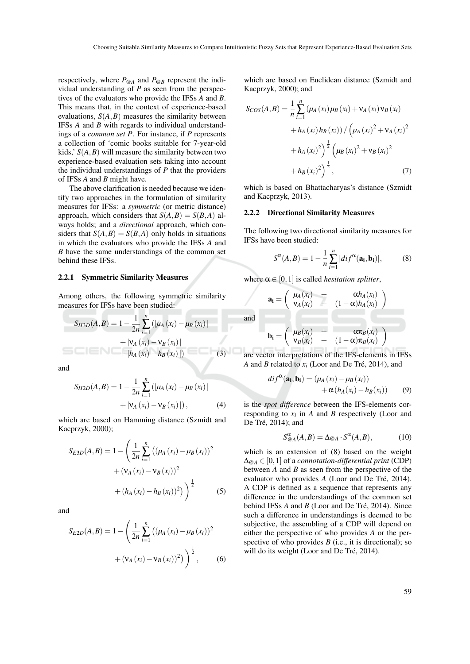and

respectively, where *P*@*<sup>A</sup>* and *P*@*<sup>B</sup>* represent the individual understanding of *P* as seen from the perspectives of the evaluators who provide the IFSs *A* and *B*. This means that, in the context of experience-based evaluations,  $S(A, B)$  measures the similarity between IFSs *A* and *B* with regards to individual understandings of a *common set P*. For instance, if *P* represents a collection of 'comic books suitable for 7-year-old kids,'  $S(A, B)$  will measure the similarity between two experience-based evaluation sets taking into account the individual understandings of *P* that the providers of IFSs *A* and *B* might have.

The above clarification is needed because we identify two approaches in the formulation of similarity measures for IFSs: a *symmetric* (or metric distance) approach, which considers that  $S(A, B) = S(B, A)$  always holds; and a *directional* approach, which considers that  $S(A, B) = S(B, A)$  only holds in situations in which the evaluators who provide the IFSs *A* and *B* have the same understandings of the common set behind these IFSs.

#### 2.2.1 Symmetric Similarity Measures

Among others, the following symmetric similarity measures for IFSs have been studied:

$$
S_{H3D}(A,B) = 1 - \frac{1}{2n} \sum_{i=1}^{n} (|\mu_A(x_i) - \mu_B(x_i)| + |\nu_A(x_i) - \nu_B(x_i)| + |h_A(x_i) - h_B(x_i)|)
$$
(3)

and

$$
S_{H2D}(A,B) = 1 - \frac{1}{2n} \sum_{i=1}^{n} (|\mu_A(x_i) - \mu_B(x_i)| + |\nu_A(x_i) - \nu_B(x_i)|), \tag{4}
$$

which are based on Hamming distance (Szmidt and Kacprzyk, 2000);

$$
S_{E3D}(A,B) = 1 - \left(\frac{1}{2n} \sum_{i=1}^{n} ((\mu_A(x_i) - \mu_B(x_i))^2 + (v_A(x_i) - v_B(x_i))^2 + (h_A(x_i) - h_B(x_i))^2)\right)^{\frac{1}{2}}
$$
(5)

and

$$
S_{E2D}(A,B) = 1 - \left(\frac{1}{2n} \sum_{i=1}^{n} \left( (\mu_A(x_i) - \mu_B(x_i))^2 + (\nu_A(x_i) - \nu_B(x_i))^2 \right)^{\frac{1}{2}},
$$
 (6)

which are based on Euclidean distance (Szmidt and Kacprzyk, 2000); and

$$
S_{COS}(A,B) = \frac{1}{n} \sum_{i=1}^{n} (\mu_A(x_i) \mu_B(x_i) + \nu_A(x_i) \nu_B(x_i)
$$
  
+  $h_A(x_i) h_B(x_i)) / (\mu_A(x_i)^2 + \nu_A(x_i)^2$   
+  $h_A(x_i)^2) \frac{1}{2} (\mu_B(x_i)^2 + \nu_B(x_i)^2$   
+  $h_B(x_i)^2) \frac{1}{2}$ , (7)

which is based on Bhattacharyas's distance (Szmidt and Kacprzyk, 2013).

#### 2.2.2 Directional Similarity Measures

The following two directional similarity measures for IFSs have been studied:

$$
S^{\alpha}(A,B) = 1 - \frac{1}{n} \sum_{i=1}^{n} |di f^{\alpha}(\mathbf{a_i}, \mathbf{b_i})|,
$$
 (8)

where  $\alpha \in [0,1]$  is called *hesitation splitter*,

$$
\mathbf{a_i} = \begin{pmatrix} \mu_A(x_i) & + & \alpha h_A(x_i) \\ v_A(x_i) & + & (1 - \alpha) h_A(x_i) \end{pmatrix}
$$
\n
$$
\mathbf{b_i} = \begin{pmatrix} \mu_B(x_i) & + & \alpha \pi_B(x_i) \\ v_B(x_i) & + & (1 - \alpha) \pi_B(x_i) \end{pmatrix}
$$

are vector interpretations of the IFS-elements in IFSs *A* and *B* related to  $x_i$  (Loor and De Tré, 2014), and

$$
dif^{\alpha}(\mathbf{a_i}, \mathbf{b_i}) = (\mu_A(x_i) - \mu_B(x_i)) + \alpha(h_A(x_i) - h_B(x_i)) \qquad (9)
$$

is the *spot difference* between the IFS-elements corresponding to  $x_i$  in  $A$  and  $B$  respectively (Loor and De Tré, 2014); and

$$
S^{\alpha}_{@A}(A,B) = \Delta_{@A} \cdot S^{\alpha}(A,B), \tag{10}
$$

which is an extension of (8) based on the weight ∆@*<sup>A</sup>* ∈ [0,1] of a *connotation-differential print* (CDP) between *A* and *B* as seen from the perspective of the evaluator who provides *A* (Loor and De Tré, 2014). A CDP is defined as a sequence that represents any difference in the understandings of the common set behind IFSs *A* and *B* (Loor and De Tré, 2014). Since such a difference in understandings is deemed to be subjective, the assembling of a CDP will depend on either the perspective of who provides *A* or the perspective of who provides  $B$  (i.e., it is directional); so will do its weight (Loor and De Tré, 2014).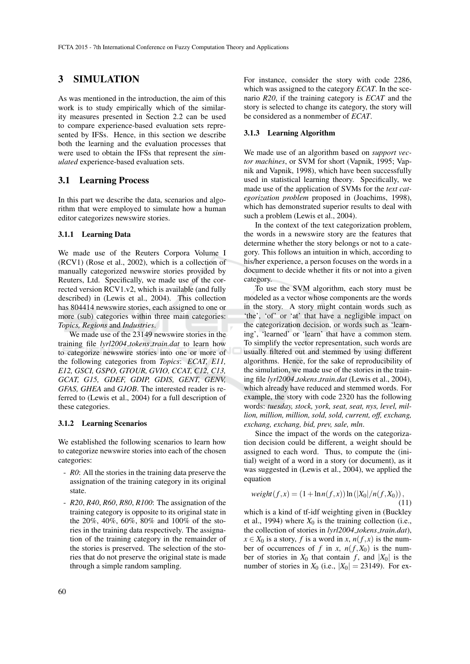# 3 SIMULATION

As was mentioned in the introduction, the aim of this work is to study empirically which of the similarity measures presented in Section 2.2 can be used to compare experience-based evaluation sets represented by IFSs. Hence, in this section we describe both the learning and the evaluation processes that were used to obtain the IFSs that represent the *simulated* experience-based evaluation sets.

## 3.1 Learning Process

In this part we describe the data, scenarios and algorithm that were employed to simulate how a human editor categorizes newswire stories.

#### 3.1.1 Learning Data

We made use of the Reuters Corpora Volume I (RCV1) (Rose et al., 2002), which is a collection of manually categorized newswire stories provided by Reuters, Ltd. Specifically, we made use of the corrected version RCV1.v2, which is available (and fully described) in (Lewis et al., 2004). This collection has 804414 newswire stories, each assigned to one or more (sub) categories within three main categories: *Topics, Regions* and *Industries*.

We made use of the 23149 newswire stories in the training file *lyrl2004 tokens train.dat* to learn how to categorize newswire stories into one or more of the following categories from *Topics*: *ECAT, E11, E12, GSCI, GSPO, GTOUR, GVIO, CCAT, C12, C13, GCAT, G15, GDEF, GDIP, GDIS, GENT, GENV, GFAS, GHEA* and *GJOB*. The interested reader is referred to (Lewis et al., 2004) for a full description of these categories.

#### 3.1.2 Learning Scenarios

We established the following scenarios to learn how to categorize newswire stories into each of the chosen categories:

- *R0*: All the stories in the training data preserve the assignation of the training category in its original state.
- *R20*, *R40*, *R60*, *R80*, *R100*: The assignation of the training category is opposite to its original state in the 20%, 40%, 60%, 80% and 100% of the stories in the training data respectively. The assignation of the training category in the remainder of the stories is preserved. The selection of the stories that do not preserve the original state is made through a simple random sampling.

For instance, consider the story with code 2286, which was assigned to the category *ECAT*. In the scenario *R20*, if the training category is *ECAT* and the story is selected to change its category, the story will be considered as a nonmember of *ECAT*.

#### 3.1.3 Learning Algorithm

We made use of an algorithm based on *support vector machines*, or SVM for short (Vapnik, 1995; Vapnik and Vapnik, 1998), which have been successfully used in statistical learning theory. Specifically, we made use of the application of SVMs for the *text categorization problem* proposed in (Joachims, 1998), which has demonstrated superior results to deal with such a problem (Lewis et al., 2004).

In the context of the text categorization problem, the words in a newswire story are the features that determine whether the story belongs or not to a category. This follows an intuition in which, according to his/her experience, a person focuses on the words in a document to decide whether it fits or not into a given category.

To use the SVM algorithm, each story must be modeled as a vector whose components are the words in the story. A story might contain words such as 'the', 'of' or 'at' that have a negligible impact on the categorization decision, or words such as 'learning', 'learned' or 'learn' that have a common stem. To simplify the vector representation, such words are usually filtered out and stemmed by using different algorithms. Hence, for the sake of reproducibility of the simulation, we made use of the stories in the training file *lyrl2004 tokens train.dat* (Lewis et al., 2004), which already have reduced and stemmed words. For example, the story with code 2320 has the following words: *tuesday, stock, york, seat, seat, nys, level, million, million, million, sold, sold, current, off, exchang, exchang, exchang, bid, prev, sale, mln*.

Since the impact of the words on the categorization decision could be different, a weight should be assigned to each word. Thus, to compute the (initial) weight of a word in a story (or document), as it was suggested in (Lewis et al., 2004), we applied the equation

$$
weight(f, x) = (1 + \ln n(f, x)) \ln (|X_0| / n(f, X_0)),
$$
\n(11)

which is a kind of tf-idf weighting given in (Buckley et al., 1994) where  $X_0$  is the training collection (i.e., the collection of stories in *lyrl2004 tokens train.dat*),  $x \in X_0$  is a story, *f* is a word in *x*,  $n(f, x)$  is the number of occurrences of *f* in *x*,  $n(f, X_0)$  is the number of stories in  $X_0$  that contain *f*, and  $|X_0|$  is the number of stories in  $X_0$  (i.e.,  $|X_0| = 23149$ ). For ex-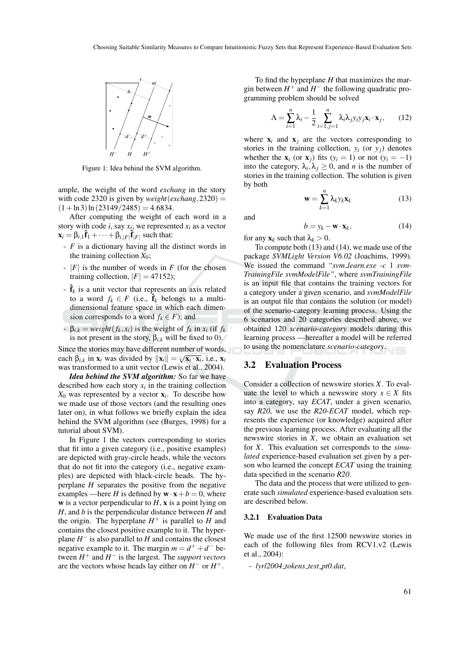

Figure 1: Idea behind the SVM algorithm.

ample, the weight of the word *exchang* in the story with code 2320 is given by *weight*(*exchang*, 2320) =  $(1 + \ln 3) \ln(23149/2485) = 4.6834.$ 

After computing the weight of each word in a story with code *i*, say  $x_i$ , we represented  $x_i$  as a vector  $\mathbf{x}_i = \beta_{i,1}\hat{\mathbf{f}}_1 + \cdots + \beta_{i,|F|}\hat{\mathbf{f}}_{|F|}$  such that:

- *F* is a dictionary having all the distinct words in the training collection  $X_0$ ;
- |*F*| is the number of words in *F* (for the chosen training collection,  $|F| = 47152$ ;
- $-\hat{\mathbf{f}}_k$  is a unit vector that represents an axis related to a word  $f_k \in F$  (i.e.,  $\hat{\mathbf{f}}_k$  belongs to a multidimensional feature space in which each dimension corresponds to a word  $f_k \in F$ ; and
- $-\beta_{i,k} = weight(f_k, x_i)$  is the weight of  $f_k$  in  $x_i$  (if  $f_k$ is not present in the story,  $\beta_{i,k}$  will be fixed to 0).

Since the stories may have different number of words, each  $\beta_{i,k}$  in  $\mathbf{x}_i$  was divided by  $\|\mathbf{x}_i\| = \sqrt{\mathbf{x}_i \cdot \mathbf{x}_i}$ , i.e.,  $\mathbf{x}_i$ was transformed to a unit vector (Lewis et al., 2004).

*Idea behind the SVM algorithm:* So far we have described how each story  $x_i$  in the training collection *X*<sup>0</sup> was represented by a vector x*<sup>i</sup>* . To describe how we made use of those vectors (and the resulting ones later on), in what follows we briefly explain the idea behind the SVM algorithm (see (Burges, 1998) for a tutorial about SVM).

In Figure 1 the vectors corresponding to stories that fit into a given category (i.e., positive examples) are depicted with gray-circle heads, while the vectors that do not fit into the category (i.e., negative examples) are depicted with black-circle heads. The hyperplane *H* separates the positive from the negative examples —here *H* is defined by  $\mathbf{w} \cdot \mathbf{x} + b = 0$ , where w is a vector perpendicular to  $H$ ,  $x$  is a point lying on *H*, and *b* is the perpendicular distance between *H* and the origin. The hyperplane  $H^+$  is parallel to  $H$  and contains the closest positive example to it. The hyperplane *H* − is also parallel to *H* and contains the closest negative example to it. The margin  $m = d^+ + d^-$  between  $H^+$  and  $H^-$  is the largest. The *support vectors* are the vectors whose heads lay either on *H*<sup>−</sup> or *H*<sup>+</sup>.

To find the hyperplane *H* that maximizes the margin between  $H^+$  and  $H^-$  the following quadratic programming problem should be solved

$$
\Lambda = \sum_{i=1}^{n} \lambda_i - \frac{1}{2} \sum_{i=1, j=1}^{n} \lambda_i \lambda_j y_i y_j \mathbf{x}_i \cdot \mathbf{x}_j, \qquad (12)
$$

where  $x_i$  and  $x_j$  are the vectors corresponding to stories in the training collection,  $y_i$  (or  $y_j$ ) denotes whether the  $\mathbf{x}_i$  (or  $\mathbf{x}_j$ ) fits ( $y_i = 1$ ) or not ( $y_i = -1$ ) into the category,  $\lambda_i, \lambda_j \geq 0$ , and *n* is the number of stories in the training collection. The solution is given by both *n* ∑ *k*=1

 $\mathbf{w} =$ 

and

$$
b = y_k - \mathbf{w} \cdot \mathbf{x}_k, \tag{14}
$$

 $\lambda_k y_k \mathbf{x}_k$  (13)

for any  $\mathbf{x}_k$  such that  $\lambda_k > 0$ .

To compute both (13) and (14), we made use of the package *SVMLight Version V6.02* (Joachims, 1999). We issued the command *"svm learn.exe -c* 1 *svm-TrainingFile svmModelFile"*, where *svmTrainingFile* is an input file that contains the training vectors for a category under a given scenario, and *svmModelFile* is an output file that contains the solution (or model) of the scenario-category learning process. Using the 6 scenarios and 20 categories described above, we obtained 120 *scenario-category* models during this learning process —hereafter a model will be referred to using the nomenclature *scenario-category*.

#### 3.2 Evaluation Process

Consider a collection of newswire stories *X*. To evaluate the level to which a newswire story  $x \in X$  fits into a category, say *ECAT*, under a given scenario, say *R20*, we use the *R20-ECAT* model, which represents the experience (or knowledge) acquired after the previous learning process. After evaluating all the newswire stories in *X*, we obtain an evaluation set for *X*. This evaluation set corresponds to the *simulated* experience-based evaluation set given by a person who learned the concept *ECAT* using the training data specified in the scenario *R20*.

The data and the process that were utilized to generate such *simulated* experience-based evaluation sets are described below.

#### 3.2.1 Evaluation Data

We made use of the first 12500 newswire stories in each of the following files from RCV1.v2 (Lewis et al., 2004):

- *lyrl2004 tokens test pt0.dat*,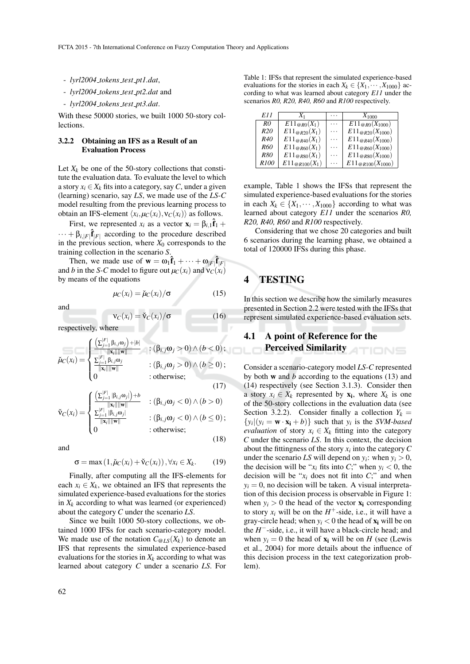- *lyrl2004 tokens test pt1.dat*,
- *lyrl2004 tokens test pt2.dat* and
- *lyrl2004 tokens test pt3.dat*.

With these 50000 stories, we built 1000 50-story collections.

#### 3.2.2 Obtaining an IFS as a Result of an Evaluation Process

Let  $X_k$  be one of the 50-story collections that constitute the evaluation data. To evaluate the level to which a story  $x_i \in X_k$  fits into a category, say C, under a given (learning) scenario, say *LS*, we made use of the *LS-C* model resulting from the previous learning process to obtain an IFS-element  $\langle x_i, \mu_C(x_i), v_C(x_i) \rangle$  as follows.

First, we represented  $x_i$  as a vector  $\mathbf{x}_i = \beta_{i,1}\hat{\mathbf{f}}_1 + \cdots$  $\cdots + \beta_{i,|F|} \hat{\mathbf{f}}_{|F|}$  according to the procedure described in the previous section, where  $X_0$  corresponds to the training collection in the scenario *S*.

Then, we made use of  $\mathbf{w} = \omega_1 \hat{\mathbf{f}}_1 + \cdots + \omega_{|F|} \hat{\mathbf{f}}_{|F|}$ and *b* in the *S*-*C* model to figure out  $\mu_C(x_i)$  and  $\nu_C(x_i)$ by means of the equations

$$
\mu_C(x_i) = \check{\mu}_C(x_i) / \sigma \tag{15}
$$

and

$$
\mathbf{v}_C(x_i) = \check{\mathbf{v}}_C(x_i) / \sigma \tag{16}
$$

respectively, where

$$
\check{\mu}_C(x_i) = \begin{cases}\n\frac{\left(\sum_{j=1}^{|F|} \beta_{i,j}\omega_j\right) + |b|}{\|\mathbf{x}_i\| \|\mathbf{w}\|} & \colon (\beta_{i,j}\omega_j > 0) \wedge (b < 0); \\
\frac{\sum_{j=1}^{|F|} \beta_{i,j}\omega_j}{\|\mathbf{x}_i\| \|\mathbf{w}\|} & \colon (\beta_{i,j}\omega_j > 0) \wedge (b \ge 0); \\
0 & \colon \text{otherwise};\n\end{cases}
$$
\n(17)

$$
\check{\mathbf{v}}_C(x_i) = \n\begin{cases}\n\frac{\left(\sum_{j=1}^{|F|} |\beta_{i,j}\omega_j|\right) + b}{\|\mathbf{x}_i\| \|\mathbf{w}\|} & \colon (\beta_{i,j}\omega_j < 0) \land (b > 0) \\
\frac{\sum_{j=1}^{|F|} |\beta_{i,j}\omega_j|}{\|\mathbf{x}_i\| \|\mathbf{w}\|} & \colon (\beta_{i,j}\omega_i < 0) \land (b < 0)\n\end{cases}
$$

$$
\mathsf{V}_C(x_i) = \begin{cases} \sum_{j=1}^{\mathsf{r}} |\beta_{i,j}\omega_j| \\ \frac{\sum_{j=1}^{\mathsf{r}} |\beta_{i,j}\omega_j|}{\|\mathbf{x}_i\|\|\mathbf{w}\|} & : (\beta_{i,j}\omega_j < 0) \wedge (b \le 0); \\ 0 & : \text{otherwise}; \end{cases} \tag{18}
$$

and

 $\sigma = \max(1, \mu_C(x_i) + \tilde{v}_C(x_i))$ ,  $\forall x_i \in X_k$ . (19)

Finally, after computing all the IFS-elements for each  $x_i \in X_k$ , we obtained an IFS that represents the simulated experience-based evaluations for the stories in  $X_k$  according to what was learned (or experienced) about the category *C* under the scenario *LS*.

Since we built 1000 50-story collections, we obtained 1000 IFSs for each scenario-category model. We made use of the notation  $C_{@LS}(X_k)$  to denote an IFS that represents the simulated experience-based evaluations for the stories in  $X_k$  according to what was learned about category *C* under a scenario *LS*. For

Table 1: IFSs that represent the simulated experience-based evaluations for the stories in each  $X_k \in \{X_1, \dots, X_{1000}\}\$  according to what was learned about category *E11* under the scenarios *R0, R20, R40, R60* and *R100* respectively.

| E11              | $X_1$              |   | $X_{1000}$              |
|------------------|--------------------|---|-------------------------|
| R <sub>0</sub>   | $E11_{@R0}(X_1)$   | . | $E11_{@R0}(X_{1000})$   |
| R <sub>20</sub>  | $E11_{@R20}(X_1)$  | . | $E11_{@R20}(X_{1000})$  |
| R40              | $E11_{@R40}(X_1)$  | . | $E11_{@R40}(X_{1000})$  |
| <i>R60</i>       | $E11_{@R60}(X_1)$  | . | $E11_{@R60}(X_{1000})$  |
| <b>R80</b>       | $E11_{@R80}(X_1)$  | . | $E11_{@R80}(X_{1000})$  |
| R <sub>100</sub> | $E11_{@R100}(X_1)$ | . | $E11_{@R100}(X_{1000})$ |

example, Table 1 shows the IFSs that represent the simulated experience-based evaluations for the stories in each  $X_k \in \{X_1, \dots, X_{1000}\}\$  according to what was learned about category *E11* under the scenarios *R0, R20, R40, R60* and *R100* respectively.

Considering that we chose 20 categories and built 6 scenarios during the learning phase, we obtained a total of 120000 IFSs during this phase.

# 4 TESTING

In this section we describe how the similarly measures presented in Section 2.2 were tested with the IFSs that represent simulated experience-based evaluation sets.

#### 4.1 A point of Reference for the Perceived Similarity **ATIONS**

Consider a scenario-category model *LS-C* represented by both w and *b* according to the equations (13) and (14) respectively (see Section 3.1.3). Consider then a story  $x_i \in X_k$  represented by  $x_i$ , where  $X_k$  is one of the 50-story collections in the evaluation data (see Section 3.2.2). Consider finally a collection  $Y_k =$  $\{y_i | (y_i = \mathbf{w} \cdot \mathbf{x_i} + b)\}$  such that  $y_i$  is the *SVM-based evaluation* of story  $x_i \in X_k$  fitting into the category *C* under the scenario *LS*. In this context, the decision about the fittingness of the story  $x_i$  into the category  $C$ under the scenario *LS* will depend on  $y_i$ : when  $y_i > 0$ , the decision will be " $x_i$  fits into *C*;" when  $y_i < 0$ , the decision will be " $x_i$  does not fit into  $C$ ;" and when  $y_i = 0$ , no decision will be taken. A visual interpretation of this decision process is observable in Figure 1: when  $y_i > 0$  the head of the vector  $\mathbf{x}_i$  corresponding to story  $x_i$  will be on the  $H^+$ -side, i.e., it will have a gray-circle head; when  $y_i < 0$  the head of  $x_i$  will be on the *H* −-side, i.e., it will have a black-circle head; and when  $y_i = 0$  the head of  $x_i$  will be on *H* (see (Lewis et al., 2004) for more details about the influence of this decision process in the text categorization problem).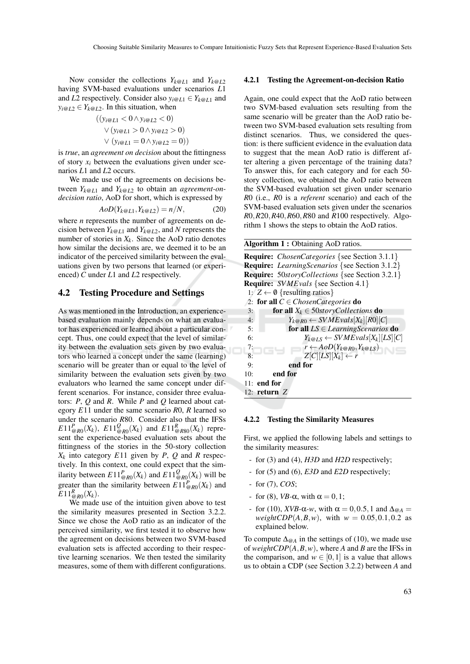Now consider the collections  $Y_{k@L1}$  and  $Y_{k@L2}$ having SVM-based evaluations under scenarios *L*1 and *L*2 respectively. Consider also  $y_i \omega_{L1} \in Y_{k} \omega_{L1}$  and  $y_i \omega_{L2} \in Y_{k} \omega_{L2}$ . In this situation, when

$$
((y_{i@L1} < 0 \land y_{i@L2} < 0) \lor (y_{i@L1} > 0 \land y_{i@L2} > 0) \lor (y_{i@L1} = 0 \land y_{i@L2} = 0))
$$

is *true*, an *agreement on decision* about the fittingness of story  $x_i$  between the evaluations given under scenarios *L*1 and *L*2 occurs.

We made use of the agreements on decisions between  $Y_{k@L1}$  and  $Y_{k@L2}$  to obtain an *agreement-ondecision ratio*, AoD for short, which is expressed by

$$
AoD(Y_{k@L1}, Y_{k@L2}) = n/N,
$$
\n(20)

where *n* represents the number of agreements on decision between  $Y_{k@L1}$  and  $Y_{k@L2}$ , and N represents the number of stories in  $X_k$ . Since the AoD ratio denotes how similar the decisions are, we deemed it to be an indicator of the perceived similarity between the evaluations given by two persons that learned (or experienced) *C* under *L*1 and *L*2 respectively.

### 4.2 Testing Procedure and Settings

As was mentioned in the Introduction, an experiencebased evaluation mainly depends on what an evaluator has experienced or learned about a particular concept. Thus, one could expect that the level of similarity between the evaluation sets given by two evaluators who learned a concept under the same (learning) scenario will be greater than or equal to the level of similarity between the evaluation sets given by two evaluators who learned the same concept under different scenarios. For instance, consider three evaluators: *P*, *Q* and *R*. While *P* and *Q* learned about category *E*11 under the same scenario *R*0, *R* learned so under the scenario *R*80. Consider also that the IFSs  $E11_{@R0}^P(X_k)$ ,  $E11_{@R0}^Q(X_k)$  and  $E11_{@R80}^R(X_k)$  represent the experience-based evaluation sets about the fittingness of the stories in the 50-story collection  $X_k$  into category  $E11$  given by  $P$ ,  $Q$  and  $R$  respectively. In this context, one could expect that the similarity between  $E11_{@R0}^P(X_k)$  and  $E11_{@R0}^Q(X_k)$  will be greater than the similarity between  $E11_{\text{Q}R0}^P(X_k)$  and  $E11_{@R0}^R(X_k)$ .

We made use of the intuition given above to test the similarity measures presented in Section 3.2.2. Since we chose the AoD ratio as an indicator of the perceived similarity, we first tested it to observe how the agreement on decisions between two SVM-based evaluation sets is affected according to their respective learning scenarios. We then tested the similarity measures, some of them with different configurations.

#### 4.2.1 Testing the Agreement-on-decision Ratio

Again, one could expect that the AoD ratio between two SVM-based evaluation sets resulting from the same scenario will be greater than the AoD ratio between two SVM-based evaluation sets resulting from distinct scenarios. Thus, we considered the question: is there sufficient evidence in the evaluation data to suggest that the mean AoD ratio is different after altering a given percentage of the training data? To answer this, for each category and for each 50 story collection, we obtained the AoD ratio between the SVM-based evaluation set given under scenario *R*0 (i.e., *R*0 is a *referent* scenario) and each of the SVM-based evaluation sets given under the scenarios *R*0,*R*20,*R*40,*R*60,*R*80 and *R*100 respectively. Algorithm 1 shows the steps to obtain the AoD ratios.

#### Algorithm 1 : Obtaining AoD ratios.

Require: *ChosenCategories* {see Section 3.1.1} Require: *LearningScenarios* {see Section 3.1.2} Require: 50*storyCollections* {see Section 3.2.1} Require: *SV MEvals* {see Section 4.1} 1:  $Z \leftarrow \emptyset$  {resulting ratios} 2: **for all**  $C \in ChosenCategories$  **do**<br>3: **for all**  $X_k \in 50storyCollecti$ 3: **for all**  $X_k \in 50$ *storyCollections* **do**<br>4:  $Y_{k \text{ on } R0} \leftarrow \text{SWMEvals}[X_k][R0][C]$ 4:  $Y_k \underset{\text{ORO}}{\otimes} \leftarrow SWMEvals[X_k][RO][C]$ <br>5: **for all**  $LS \in LearningScenarios$ 5: **for all**  $LS \in LearningScenarios$  **do**<br>6:  $Y_{k@IS} \leftarrow SVMEvals[X_k][LS][C]$ 6:  $Y_{k@LS} \leftarrow SWMEvals[X_k][LS][C]$ <br>7:  $r \leftarrow AoD(Y_{k@R0}, Y_{k@LS})$ 7:  $r \leftarrow A \circ D(Y_{k \otimes R0}, Y_{k \otimes LS})$ <br>8:  $Z[C][LS][X_i] \leftarrow r$ 8:  $Z[C][LS][X_k] \leftarrow r$ <br>9: **end for** end for 10: end for 11: end for 12: return *Z*

#### 4.2.2 Testing the Similarity Measures

First, we applied the following labels and settings to the similarity measures:

- for (3) and (4), *H3D* and *H2D* respectively;
- for (5) and (6), *E3D* and *E2D* respectively;
- for (7), *COS*;
- for (8),  $VB$ - $\alpha$ , with  $\alpha = 0, 1$ ;
- for (10), *XVB*-α*-w*, with  $\alpha = 0.0.5, 1$  and  $\Delta_{\omega A}$ *weightCDP*( $A, B, w$ ), with  $w = 0.05, 0.1, 0.2$  as explained below.

To compute  $\Delta_{\omega_A}$  in the settings of (10), we made use of *weightCDP*(*A*,*B*,*w*), where *A* and *B* are the IFSs in the comparison, and  $w \in [0,1]$  is a value that allows us to obtain a CDP (see Section 3.2.2) between *A* and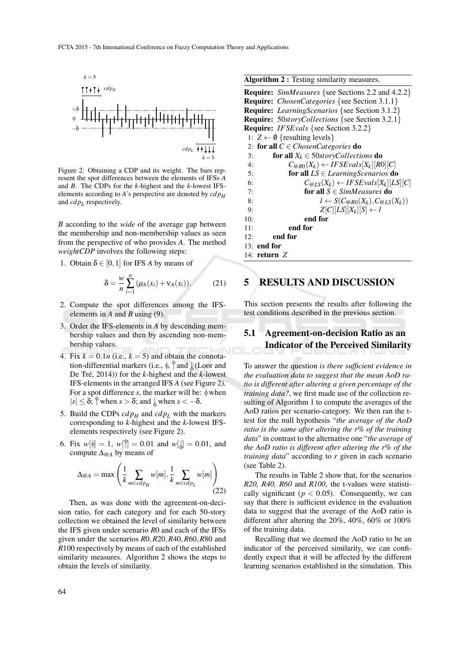

Figure 2: Obtaining a CDP and its weight. The bars represent the spot differences between the elements of IFSs *A* and *B*. The CDPs for the *k*-highest and the *k*-lowest IFSelements according to *A*'s perspective are denoted by *cd p<sup>H</sup>* and *cd p<sup>L</sup>* respectively.

*B* according to the *wide* of the average gap between the membership and non-membership values as seen from the perspective of who provides *A*. The method *weightCDP* involves the following steps:

1. Obtain  $\delta \in [0,1]$  for IFS *A* by means of

$$
\delta = \frac{w}{n} \sum_{i=1}^{n} (\mu_A(x_i) + \mathsf{v}_A(x_i)). \tag{21}
$$

- 2. Compute the spot differences among the IFSelements in *A* and *B* using (9).
- 3. Order the IFS-elements in *A* by descending membership values and then by ascending non-membership values.
- 4. Fix  $k = 0.1n$  (i.e.,  $k = 5$ ) and obtain the connotation-differential markers (i.e.,  $\oint$   $\uparrow$  and  $\downarrow$  (Loor and<br>De Tré 2014)) for the *k*-highest and the *k*-lowest De Tré,  $2014$ ) for the *k*-highest and the *k*-lowest IFS-elements in the arranged IFS *A* (see Figure 2). For a spot difference *s*, the marker will be:  $\phi$  when  $|s| \leq \delta$ ;  $\int$  when  $s > \delta$ ; and  $\int$  when  $s < -\delta$ .
- 5. Build the CDPs  $cdp<sub>H</sub>$  and  $cdp<sub>L</sub>$  with the markers corresponding to *k*-highest and the *k*-lowest IFSelements respectively (see Figure 2).
- 6. Fix  $w[\phi] = 1$ ,  $w[\hat{\theta}] = 0.01$  and  $w[\hat{\phi}] = 0.01$ , and compute  $\Delta \circ \phi$  by means of compute ∆@*<sup>A</sup>* by means of

$$
\Delta_{\mathfrak{Q}A} = \max\left(\frac{1}{k} \sum_{m \in cdp_H} w[m], \frac{1}{k} \sum_{m \in cdp_L} w[m]\right)
$$
(22)

Then, as was done with the agreement-on-decision ratio, for each category and for each 50-story collection we obtained the level of similarity between the IFS given under scenario *R*0 and each of the IFSs given under the scenarios *R*0,*R*20,*R*40,*R*60,*R*80 and *R*100 respectively by means of each of the established similarity measures. Algorithm 2 shows the steps to obtain the levels of similarity.

| Algorithm 2 : Testing similarity measures. |  |  |  |
|--------------------------------------------|--|--|--|
|--------------------------------------------|--|--|--|

|     | <b>Require:</b> SimMeasures {see Sections 2.2 and 4.2.2}    |
|-----|-------------------------------------------------------------|
|     | <b>Require:</b> <i>ChosenCategories</i> {see Section 3.1.1} |
|     | <b>Require:</b> LearningScenarios {see Section 3.1.2}       |
|     | <b>Require:</b> 50storyCollections {see Section 3.2.1}      |
|     | <b>Require:</b> IFSEvals {see Section 3.2.2}                |
|     | 1: $Z \leftarrow \emptyset$ {resulting levels}              |
|     | 2: for all $C \in ChosenCategories$ do                      |
| 3:  | <b>for all</b> $X_k \in 50storyCollections$ <b>do</b>       |
| 4:  | $C_{@R0}(X_k) \leftarrow IFSEvals[X_k][R0][C]$              |
| 5:  | for all $LS \in LearningScenarios$ do                       |
| 6:  | $C_{@LS}(X_k) \leftarrow IFSEvals[X_k][LS][C]$              |
| 7:  | for all $S \in SimMeasures$ do                              |
| 8:  | $l \leftarrow S(C_{@R0}(X_k), C_{@LS}(X_k))$                |
| 9:  | $Z[C][LS][X_k][S] \leftarrow l$                             |
| 10: | end for                                                     |
| 11: | end for                                                     |
| 12: | end for                                                     |
|     | $13:$ end for                                               |
|     | 14: return $Z$                                              |

## 5 RESULTS AND DISCUSSION

This section presents the results after following the test conditions described in the previous section.

# 5.1 Agreement-on-decision Ratio as an Indicator of the Perceived Similarity

To answer the question *is there sufficient evidence in the evaluation data to suggest that the mean AoD ratio is different after altering a given percentage of the training data?*, we first made use of the collection resulting of Algorithm 1 to compute the averages of the AoD ratios per scenario-category. We then ran the ttest for the null hypothesis "*the average of the AoD ratio is the same after altering the r*% *of the training data*" in contrast to the alternative one "*the average of the AoD ratio is different after altering the r*% *of the training data*" according to *r* given in each scenario (see Table 2).

The results in Table 2 show that, for the scenarios *R20, R40, R60* and *R100*, the t-values were statistically significant ( $p < 0.05$ ). Consequently, we can say that there is sufficient evidence in the evaluation data to suggest that the average of the AoD ratio is different after altering the 20%, 40%, 60% or 100% of the training data.

Recalling that we deemed the AoD ratio to be an indicator of the perceived similarity, we can confidently expect that it will be affected by the different learning scenarios established in the simulation. This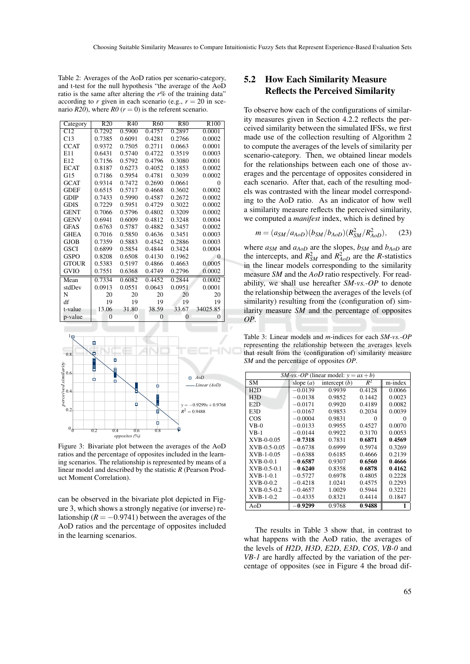Table 2: Averages of the AoD ratios per scenario-category, and t-test for the null hypothesis "the average of the AoD ratio is the same after altering the *r*% of the training data" according to *r* given in each scenario (e.g.,  $r = 20$  in scenario  $R20$ , where  $R0$  ( $r = 0$ ) is the referent scenario.

| Category     | R20            | R40            | R <sub>60</sub> | <b>R80</b>     | R <sub>100</sub> |
|--------------|----------------|----------------|-----------------|----------------|------------------|
| C12          | 0.7292         | 0.5900         | 0.4757          | 0.2897         | 0.0001           |
| C13          | 0.7385         | 0.6091         | 0.4281          | 0.2766         | 0.0002           |
| <b>CCAT</b>  | 0.9372         | 0.7505         | 0.2711          | 0.0663         | 0.0001           |
| E11          | 0.6431         | 0.5740         | 0.4722          | 0.3519         | 0.0003           |
| E12          | 0.7156         | 0.5792         | 0.4796          | 0.3080         | 0.0001           |
| <b>ECAT</b>  | 0.8187         | 0.6273         | 0.4052          | 0.1853         | 0.0002           |
| G15          | 0.7186         | 0.5954         | 0.4781          | 0.3039         | 0.0002           |
| <b>GCAT</b>  | 0.9314         | 0.7472         | 0.2690          | 0.0661         | 0                |
| <b>GDEF</b>  | 0.6515         | 0.5717         | 0.4668          | 0.3602         | 0.0002           |
| <b>GDIP</b>  | 0.7433         | 0.5990         | 0.4587          | 0.2672         | 0.0002           |
| <b>GDIS</b>  | 0.7229         | 0.5951         | 0.4729          | 0.3022         | 0.0002           |
| <b>GENT</b>  | 0.7066         | 0.5796         | 0.4802          | 0.3209         | 0.0002           |
| <b>GENV</b>  | 0.6941         | 0.6009         | 0.4812          | 0.3248         | 0.0004           |
| <b>GFAS</b>  | 0.6763         | 0.5787         | 0.4882          | 0.3457         | 0.0002           |
| <b>GHEA</b>  | 0.7016         | 0.5850         | 0.4636          | 0.3451         | 0.0003           |
| <b>GJOB</b>  | 0.7359         | 0.5883         | 0.4542          | 0.2886         | 0.0003           |
| <b>GSCI</b>  | 0.6899         | 0.5854         | 0.4844          | 0.3424         | 0.0004           |
| <b>GSPO</b>  | 0.8208         | 0.6508         | 0.4130          | 0.1962         | $\theta$         |
| <b>GTOUR</b> | 0.5383         | 0.5197         | 0.4866          | 0.4663         | 0.0005           |
| <b>GVIO</b>  | 0.7551         | 0.6368         | 0.4749          | 0.2796         | 0.0002           |
| Mean         | 0.7334         | 0.6082         | 0.4452          | 0.2844         | 0.0002           |
| stdDev       | 0.0913         | 0.0551         | 0.0643          | 0.0951         | 0.0001           |
| N            | 20             | 20             | 20              | 20             | 20               |
| df           | 19             | 19             | 19              | 19             | 19               |
| t-value      | 13.06          | 31.80          | 38.59           | 33.67          | 34025.85         |
| p-value      | $\overline{0}$ | $\overline{0}$ | $\overline{0}$  | $\overline{0}$ | $\theta$         |



Figure 3: Bivariate plot between the averages of the AoD ratios and the percentage of opposites included in the learning scenarios. The relationship is represented by means of a linear model and described by the statistic *R* (Pearson Product Moment Correlation).

can be observed in the bivariate plot depicted in Figure 3, which shows a strongly negative (or inverse) relationship  $(R = -0.9741)$  between the averages of the AoD ratios and the percentage of opposites included in the learning scenarios.

# 5.2 How Each Similarity Measure Reflects the Perceived Similarity

To observe how each of the configurations of similarity measures given in Section 4.2.2 reflects the perceived similarity between the simulated IFSs, we first made use of the collection resulting of Algorithm 2 to compute the averages of the levels of similarity per scenario-category. Then, we obtained linear models for the relationships between each one of those averages and the percentage of opposites considered in each scenario. After that, each of the resulting models was contrasted with the linear model corresponding to the AoD ratio. As an indicator of how well a similarity measure reflects the perceived similarity, we computed a *manifest* index, which is defined by

$$
m = (a_{SM}/a_{AoD})(b_{SM}/b_{AoD})(R_{SM}^2/R_{AoD}^2),
$$
 (23)

where  $a_{SM}$  and  $a_{AoD}$  are the slopes,  $b_{SM}$  and  $b_{AoD}$  are the intercepts, and  $R_{SM}^2$  and  $R_{AoD}^2$  are the *R*-statistics in the linear models corresponding to the similarity measure *SM* and the *AoD* ratio respectively. For readability, we shall use hereafter *SM-vs.-OP* to denote the relationship between the averages of the levels (of similarity) resulting from the (configuration of) similarity measure *SM* and the percentage of opposites *OP*.

Table 3: Linear models and *m*-indices for each *SM-vs.-OP* representing the relationship between the averages levels that result from the (configuration of) similarity measure *SM* and the percentage of opposites *OP*.

| <i>SM-vs.-OP</i> (linear model: $y = ax + b$ ) |             |                 |        |         |
|------------------------------------------------|-------------|-----------------|--------|---------|
| SΜ                                             | slope $(a)$ | intercept $(b)$ | $R^2$  | m-index |
| H2D                                            | $-0.0139$   | 0.9939          | 0.4128 | 0.0066  |
| H3D                                            | $-0.0138$   | 0.9852          | 0.1442 | 0.0023  |
| E2D                                            | $-0.0171$   | 0.9920          | 0.4189 | 0.0082  |
| E3D                                            | $-0.0167$   | 0.9853          | 0.2034 | 0.0039  |
| COS                                            | $-0.0004$   | 0.9831          | 0      | 0       |
| $VB-0$                                         | $-0.0133$   | 0.9955          | 0.4527 | 0.0070  |
| VB-1                                           | $-0.0144$   | 0.9922          | 0.3170 | 0.0053  |
| XVB-0-0.05                                     | $-0.7318$   | 0.7831          | 0.6871 | 0.4569  |
| XVB-0.5-0.05                                   | $-0.6738$   | 0.6999          | 0.5974 | 0.3269  |
| XVB-1-0.05                                     | $-0.6388$   | 0.6185          | 0.4666 | 0.2139  |
| $XVB-0-0.1$                                    | $-0.6587$   | 0.9307          | 0.6560 | 0.4666  |
| $XVB-0.5-0.1$                                  | $-0.6240$   | 0.8358          | 0.6878 | 0.4162  |
| $XVB-1-0.1$                                    | $-0.5727$   | 0.6978          | 0.4805 | 0.2228  |
| XVB-0-0.2                                      | $-0.4218$   | 1.0241          | 0.4575 | 0.2293  |
| XVB-0.5-0.2                                    | $-0.4657$   | 1.0029          | 0.5944 | 0.3221  |
| $XVB-1-0.2$                                    | $-0.4335$   | 0.8321          | 0.4414 | 0.1847  |
| AoD                                            | $-0.9299$   | 0.9768          | 0.9488 | 1       |

The results in Table 3 show that, in contrast to what happens with the AoD ratio, the averages of the levels of *H2D*, *H3D*, *E2D*, *E3D*, *COS*, *VB-0* and *VB-1* are hardly affected by the variation of the percentage of opposites (see in Figure 4 the broad dif-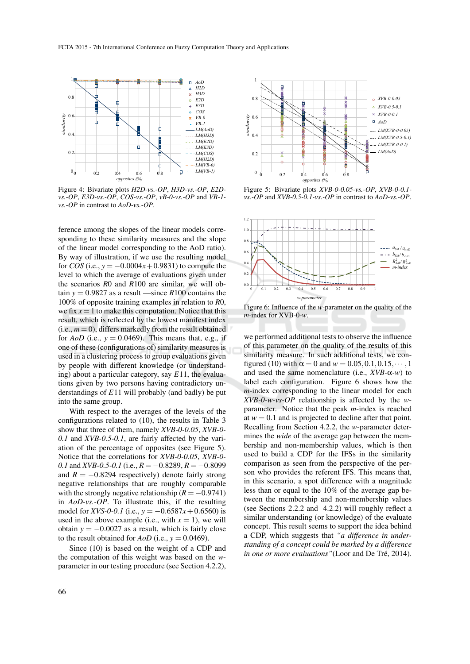

Figure 4: Bivariate plots *H2D-vs.-OP*, *H3D-vs.-OP*, *E2Dvs.-OP*, *E3D-vs.-OP*, *COS-vs.-OP*, *vB-0-vs.-OP* and *VB-1 vs.-OP* in contrast to *AoD-vs.-OP*.

ference among the slopes of the linear models corresponding to these similarity measures and the slope of the linear model corresponding to the AoD ratio). By way of illustration, if we use the resulting model for *COS* (i.e.,  $y = -0.0004x + 0.9831$ ) to compute the level to which the average of evaluations given under the scenarios *R*0 and *R*100 are similar, we will obtain  $y = 0.9827$  as a result —since  $R100$  contains the 100% of opposite training examples in relation to *R*0, we fix  $x = 1$  to make this computation. Notice that this result, which is reflected by the lowest manifest index  $(i.e.,  $m = 0$ ), differs markedly from the result obtained$ for  $AoD$  (i.e.,  $y = 0.0469$ ). This means that, e.g., if one of these (configurations of) similarity measures is used in a clustering process to group evaluations given by people with different knowledge (or understanding) about a particular category, say *E*11, the evaluations given by two persons having contradictory understandings of *E*11 will probably (and badly) be put into the same group.

With respect to the averages of the levels of the configurations related to (10), the results in Table 3 show that three of them, namely *XVB-0-0.05*, *XVB-0- 0.1* and *XVB-0.5-0.1*, are fairly affected by the variation of the percentage of opposites (see Figure 5). Notice that the correlations for *XVB-0-0.05*, *XVB-0- 0.1* and *XVB-0.5-0.1* (i.e., *R* = −0.8289, *R* = −0.8099 and  $R = -0.8294$  respectively) denote fairly strong negative relationships that are roughly comparable with the strongly negative relationship  $(R = -0.9741)$ in *AoD-vs.-OP*. To illustrate this, if the resulting model for *XVS-0-0.1* (i.e.,  $y = -0.6587x + 0.6560$ ) is used in the above example (i.e., with  $x = 1$ ), we will obtain  $y = -0.0027$  as a result, which is fairly close to the result obtained for  $AoD$  (i.e.,  $y = 0.0469$ ).

Since (10) is based on the weight of a CDP and the computation of this weight was based on the *w*parameter in our testing procedure (see Section 4.2.2),



Figure 5: Bivariate plots *XVB-0-0.05-vs.-OP*, *XVB-0-0.1 vs.-OP* and *XVB-0.5-0.1-vs.-OP* in contrast to *AoD-vs.-OP*.



Figure 6: Influence of the *w*-parameter on the quality of the *m*-index for XVB-0-*w*.

we performed additional tests to observe the influence of this parameter on the quality of the results of this similarity measure. In such additional tests, we configured (10) with  $\alpha = 0$  and  $w = 0.05, 0.1, 0.15, \dots, 1$ and used the same nomenclature (i.e., *XVB-*α*-w*) to label each configuration. Figure 6 shows how the *m*-index corresponding to the linear model for each *XVB-0-w-vs-OP* relationship is affected by the *w*parameter. Notice that the peak *m*-index is reached at  $w = 0.1$  and is projected to decline after that point. Recalling from Section 4.2.2, the *w*-parameter determines the *wide* of the average gap between the membership and non-membership values, which is then used to build a CDP for the IFSs in the similarity comparison as seen from the perspective of the person who provides the referent IFS. This means that, in this scenario, a spot difference with a magnitude less than or equal to the 10% of the average gap between the membership and non-membership values (see Sections 2.2.2 and 4.2.2) will roughly reflect a similar understanding (or knowledge) of the evaluate concept. This result seems to support the idea behind a CDP, which suggests that *"a difference in understanding of a concept could be marked by a difference in one or more evaluations*"(Loor and De Tré, 2014).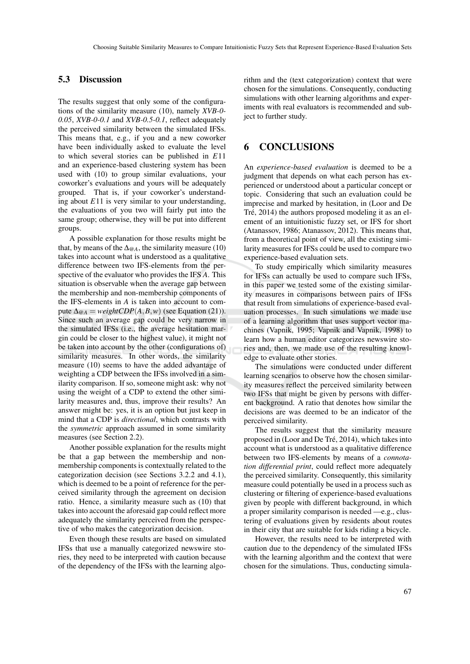## 5.3 Discussion

The results suggest that only some of the configurations of the similarity measure (10), namely *XVB-0- 0.05*, *XVB-0-0.1* and *XVB-0.5-0.1*, reflect adequately the perceived similarity between the simulated IFSs. This means that, e.g., if you and a new coworker have been individually asked to evaluate the level to which several stories can be published in *E*11 and an experience-based clustering system has been used with (10) to group similar evaluations, your coworker's evaluations and yours will be adequately grouped. That is, if your coworker's understanding about *E*11 is very similar to your understanding, the evaluations of you two will fairly put into the same group; otherwise, they will be put into different groups.

A possible explanation for those results might be that, by means of the  $\Delta_{\omega_A}$ , the similarity measure (10) takes into account what is understood as a qualitative difference between two IFS-elements from the perspective of the evaluator who provides the IFS *A*. This situation is observable when the average gap between the membership and non-membership components of the IFS-elements in *A* is taken into account to compute  $\Delta_{@A} = weightCDP(A, B, w)$  (see Equation (21)). Since such an average gap could be very narrow in the simulated IFSs (i.e., the average hesitation margin could be closer to the highest value), it might not be taken into account by the other (configurations of) similarity measures. In other words, the similarity measure (10) seems to have the added advantage of weighting a CDP between the IFSs involved in a similarity comparison. If so, someone might ask: why not using the weight of a CDP to extend the other similarity measures and, thus, improve their results? An answer might be: yes, it is an option but just keep in mind that a CDP is *directional*, which contrasts with the *symmetric* approach assumed in some similarity measures (see Section 2.2).

Another possible explanation for the results might be that a gap between the membership and nonmembership components is contextually related to the categorization decision (see Sections 3.2.2 and 4.1), which is deemed to be a point of reference for the perceived similarity through the agreement on decision ratio. Hence, a similarity measure such as (10) that takes into account the aforesaid gap could reflect more adequately the similarity perceived from the perspective of who makes the categorization decision.

Even though these results are based on simulated IFSs that use a manually categorized newswire stories, they need to be interpreted with caution because of the dependency of the IFSs with the learning algorithm and the (text categorization) context that were chosen for the simulations. Consequently, conducting simulations with other learning algorithms and experiments with real evaluators is recommended and subject to further study.

# 6 CONCLUSIONS

An *experience-based evaluation* is deemed to be a judgment that depends on what each person has experienced or understood about a particular concept or topic. Considering that such an evaluation could be imprecise and marked by hesitation, in (Loor and De Tré, 2014) the authors proposed modeling it as an element of an intuitionistic fuzzy set, or IFS for short (Atanassov, 1986; Atanassov, 2012). This means that, from a theoretical point of view, all the existing similarity measures for IFSs could be used to compare two experience-based evaluation sets.

To study empirically which similarity measures for IFSs can actually be used to compare such IFSs, in this paper we tested some of the existing similarity measures in comparisons between pairs of IFSs that result from simulations of experience-based evaluation processes. In such simulations we made use of a learning algorithm that uses support vector machines (Vapnik, 1995; Vapnik and Vapnik, 1998) to learn how a human editor categorizes newswire stories and, then, we made use of the resulting knowledge to evaluate other stories.

The simulations were conducted under different learning scenarios to observe how the chosen similarity measures reflect the perceived similarity between two IFSs that might be given by persons with different background. A ratio that denotes how similar the decisions are was deemed to be an indicator of the perceived similarity.

The results suggest that the similarity measure proposed in (Loor and De Tré, 2014), which takes into account what is understood as a qualitative difference between two IFS-elements by means of a *connotation differential print*, could reflect more adequately the perceived similarity. Consequently, this similarity measure could potentially be used in a process such as clustering or filtering of experience-based evaluations given by people with different background, in which a proper similarity comparison is needed —e.g., clustering of evaluations given by residents about routes in their city that are suitable for kids riding a bicycle.

However, the results need to be interpreted with caution due to the dependency of the simulated IFSs with the learning algorithm and the context that were chosen for the simulations. Thus, conducting simula